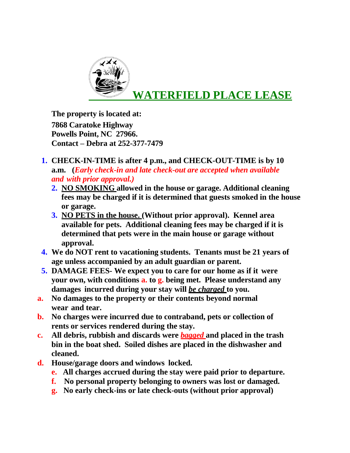

**The property is located at: 7868 Caratoke Highway Powells Point, NC 27966.** **Contact – Debra at 252-377-7479**

- **1. CHECK-IN-TIME is after 4 p.m., and CHECK-OUT-TIME is by 10 a.m. (***Early check-in and late check-out are accepted when available and with prior approval.)*
	- **2. NO SMOKING allowed in the house or garage. Additional cleaning fees may be charged if it is determined that guests smoked in the house or garage.**
	- **3. NO PETS in the house. (Without prior approval). Kennel area available for pets. Additional cleaning fees may be charged if it is determined that pets were in the main house or garage without approval.**
- **4. We do NOT rent to vacationing students. Tenants must be 21 years of age unless accompanied by an adult guardian or parent.**
- **5. DAMAGE FEES- We expect you to care for our home as if it were your own, with conditions a. to g. being met. Please understand any damages incurred during your stay will** *be charged* **to you.**
- **a. No damages to the property or their contents beyond normal wear and tear.**
- **b. No charges were incurred due to contraband, pets or collection of rents or services rendered during the stay.**
- **c. All debris, rubbish and discards were** *bagged* **and placed in the trash bin in the boat shed. Soiled dishes are placed in the dishwasher and cleaned.**
- **d. House/garage doors and windows locked.**
	- **e. All charges accrued during the stay were paid prior to departure.**
	- **f. No personal property belonging to owners was lost or damaged.**
	- **g. No early check-ins or late check-outs (without prior approval)**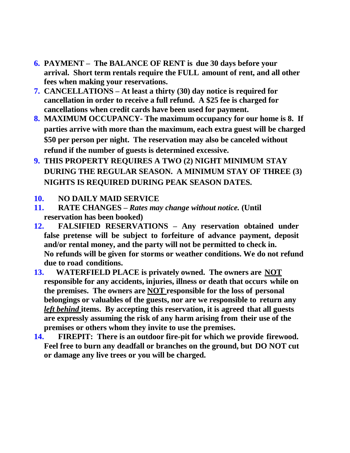- **6. PAYMENT – The BALANCE OF RENT is due 30 days before your arrival. Short term rentals require the FULL amount of rent, and all other fees when making your reservations.**
- **7. CANCELLATIONS – At least a thirty (30) day notice is required for cancellation in order to receive a full refund. A \$25 fee is charged for cancellations when credit cards have been used for payment.**
- **8. MAXIMUM OCCUPANCY- The maximum occupancy for our home is 8. If parties arrive with more than the maximum, each extra guest will be charged \$50 per person per night. The reservation may also be canceled without refund if the number of guests is determined excessive.**
- **9. THIS PROPERTY REQUIRES A TWO (2) NIGHT MINIMUM STAY DURING THE REGULAR SEASON. A MINIMUM STAY OF THREE (3) NIGHTS IS REQUIRED DURING PEAK SEASON DATES.**

## **10. NO DAILY MAID SERVICE**

- **11. RATE CHANGES** *– Rates may change without notice.* **(Until reservation has been booked)**
- **12. FALSIFIED RESERVATIONS – Any reservation obtained under false pretense will be subject to forfeiture of advance payment, deposit and/or rental money, and the party will not be permitted to check in. No refunds will be given for storms or weather conditions. We do not refund due to road conditions.**
- **13. WATERFIELD PLACE is privately owned. The owners are NOT responsible for any accidents, injuries, illness or death that occurs while on the premises. The owners are NOT responsible for the loss of personal belongings or valuables of the guests, nor are we responsible to return any** *left behind* **items. By accepting this reservation, it is agreed that all guests are expressly assuming the risk of any harm arising from their use of the premises or others whom they invite to use the premises.**
- **14. FIREPIT: There is an outdoor fire-pit for which we provide firewood. Feel free to burn any deadfall or branches on the ground, but DO NOT cut or damage any live trees or you will be charged.**